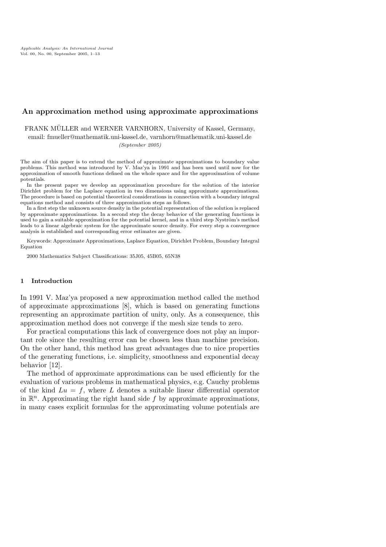# An approximation method using approximate approximations

FRANK MÜLLER and WERNER VARNHORN, University of Kassel, Germany, email: fmueller@mathematik.uni-kassel.de, varnhorn@mathematik.uni-kassel.de (September 2005)

The aim of this paper is to extend the method of approximate approximations to boundary value problems. This method was introduced by V. Maz'ya in 1991 and has been used until now for the approximation of smooth functions defined on the whole space and for the approximation of volume potentials.

In the present paper we develop an approximation procedure for the solution of the interior Dirichlet problem for the Laplace equation in two dimensions using approximate approximations. The procedure is based on potential theoretical considerations in connection with a boundary integral equations method and consists of three approximation steps as follows.

In a first step the unknown source density in the potential representation of the solution is replaced by approximate approximations. In a second step the decay behavior of the generating functions is used to gain a suitable approximation for the potential kernel, and in a third step Nyström's method leads to a linear algebraic system for the approximate source density. For every step a convergence analysis is established and corresponding error estimates are given.

Keywords: Approximate Approximations, Laplace Equation, Dirichlet Problem, Boundary Integral Equation

2000 Mathematics Subject Classifications: 35J05, 45B05, 65N38

# 1 Introduction

In 1991 V. Maz'ya proposed a new approximation method called the method of approximate approximations [8], which is based on generating functions representing an approximate partition of unity, only. As a consequence, this approximation method does not converge if the mesh size tends to zero.

For practical computations this lack of convergence does not play an important role since the resulting error can be chosen less than machine precision. On the other hand, this method has great advantages due to nice properties of the generating functions, i.e. simplicity, smoothness and exponential decay behavior [12].

The method of approximate approximations can be used efficiently for the evaluation of various problems in mathematical physics, e.g. Cauchy problems of the kind  $Lu = f$ , where L denotes a suitable linear differential operator in  $\mathbb{R}^n$ . Approximating the right hand side f by approximate approximations, in many cases explicit formulas for the approximating volume potentials are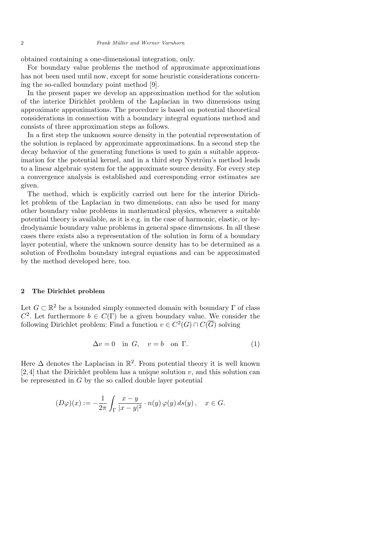obtained containing a one-dimensional integration, only.

For boundary value problems the method of approximate approximations has not been used until now, except for some heuristic considerations concerning the so-called boundary point method [9].

In the present paper we develop an approximation method for the solution of the interior Dirichlet problem of the Laplacian in two dimensions using approximate approximations. The procedure is based on potential theoretical considerations in connection with a boundary integral equations method and consists of three approximation steps as follows.

In a first step the unknown source density in the potential representation of the solution is replaced by approximate approximations. In a second step the decay behavior of the generating functions is used to gain a suitable approximation for the potential kernel, and in a third step Nyström's method leads to a linear algebraic system for the approximate source density. For every step a convergence analysis is established and corresponding error estimates are given.

The method, which is explicitly carried out here for the interior Dirichlet problem of the Laplacian in two dimensions, can also be used for many other boundary value problems in mathematical physics, whenever a suitable potential theory is available, as it is e.g. in the case of harmonic, elastic, or hydrodynamic boundary value problems in general space dimensions. In all these cases there exists also a representation of the solution in form of a boundary layer potential, where the unknown source density has to be determined as a solution of Fredholm boundary integral equations and can be approximated by the method developed here, too.

#### 2 The Dirichlet problem

Let  $G \subset \mathbb{R}^2$  be a bounded simply connected domain with boundary  $\Gamma$  of class  $C^2$ . Let furthermore  $b \in C(\Gamma)$  be a given boundary value. We consider the following Dirichlet problem: Find a function  $v \in C^2(G) \cap C(\overline{G})$  solving

$$
\Delta v = 0 \quad \text{in } G, \quad v = b \quad \text{on } \Gamma. \tag{1}
$$

Here  $\Delta$  denotes the Laplacian in  $\mathbb{R}^2$ . From potential theory it is well known [2, 4] that the Dirichlet problem has a unique solution  $v$ , and this solution can be represented in  $G$  by the so called double layer potential

$$
(D\varphi)(x) := -\frac{1}{2\pi} \int_{\Gamma} \frac{x-y}{|x-y|^2} \cdot n(y) \varphi(y) ds(y), \quad x \in G.
$$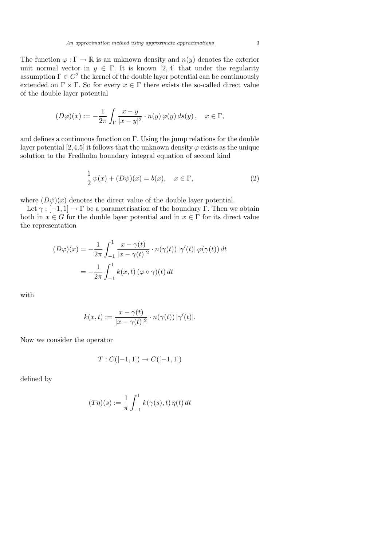The function  $\varphi : \Gamma \to \mathbb{R}$  is an unknown density and  $n(y)$  denotes the exterior unit normal vector in  $y \in \Gamma$ . It is known [2, 4] that under the regularity assumption  $\Gamma \in C^2$  the kernel of the double layer potential can be continuously extended on  $\Gamma \times \Gamma$ . So for every  $x \in \Gamma$  there exists the so-called direct value of the double layer potential

$$
(D\varphi)(x) := -\frac{1}{2\pi} \int_{\Gamma} \frac{x-y}{|x-y|^2} \cdot n(y) \varphi(y) ds(y), \quad x \in \Gamma,
$$

and defines a continuous function on Γ. Using the jump relations for the double layer potential [2,4,5] it follows that the unknown density  $\varphi$  exists as the unique solution to the Fredholm boundary integral equation of second kind

$$
\frac{1}{2}\psi(x) + (D\psi)(x) = b(x), \quad x \in \Gamma,
$$
\n(2)

where  $(D\psi)(x)$  denotes the direct value of the double layer potential.

Let  $\gamma : [-1, 1] \to \Gamma$  be a parametrisation of the boundary  $\Gamma$ . Then we obtain both in  $x \in G$  for the double layer potential and in  $x \in \Gamma$  for its direct value the representation

$$
(D\varphi)(x) = -\frac{1}{2\pi} \int_{-1}^{1} \frac{x - \gamma(t)}{|x - \gamma(t)|^2} \cdot n(\gamma(t)) |\gamma'(t)| \varphi(\gamma(t)) dt
$$

$$
= -\frac{1}{2\pi} \int_{-1}^{1} k(x, t) (\varphi \circ \gamma)(t) dt
$$

with

$$
k(x,t) := \frac{x - \gamma(t)}{|x - \gamma(t)|^2} \cdot n(\gamma(t)) |\gamma'(t)|.
$$

Now we consider the operator

$$
T: C([-1, 1]) \to C([-1, 1])
$$

defined by

$$
(T\eta)(s) := \frac{1}{\pi} \int_{-1}^{1} k(\gamma(s), t) \eta(t) dt
$$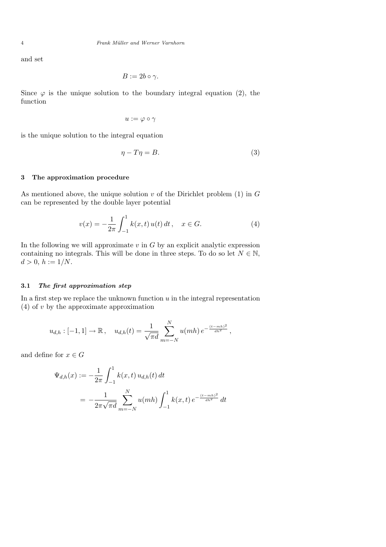and set

$$
B:=2b\circ\gamma.
$$

Since  $\varphi$  is the unique solution to the boundary integral equation (2), the function

$$
u:=\varphi\circ\gamma
$$

is the unique solution to the integral equation

$$
\eta - T\eta = B. \tag{3}
$$

# 3 The approximation procedure

As mentioned above, the unique solution  $v$  of the Dirichlet problem (1) in  $G$ can be represented by the double layer potential

$$
v(x) = -\frac{1}{2\pi} \int_{-1}^{1} k(x, t) u(t) dt, \quad x \in G.
$$
 (4)

In the following we will approximate  $v$  in  $G$  by an explicit analytic expression containing no integrals. This will be done in three steps. To do so let  $N \in \mathbb{N}$ ,  $d > 0, h := 1/N.$ 

#### 3.1 The first approximation step

In a first step we replace the unknown function  $u$  in the integral representation  $(4)$  of v by the approximate approximation

$$
u_{d,h} : [-1,1] \to \mathbb{R}, \quad u_{d,h}(t) = \frac{1}{\sqrt{\pi d}} \sum_{m=-N}^{N} u(mh) e^{-\frac{(t-mh)^2}{dh^2}},
$$

and define for  $x \in G$ 

$$
\Psi_{d,h}(x) := -\frac{1}{2\pi} \int_{-1}^{1} k(x,t) u_{d,h}(t) dt
$$
  
= 
$$
-\frac{1}{2\pi\sqrt{\pi d}} \sum_{m=-N}^{N} u(mh) \int_{-1}^{1} k(x,t) e^{-\frac{(t-mh)^2}{dh^2}} dt
$$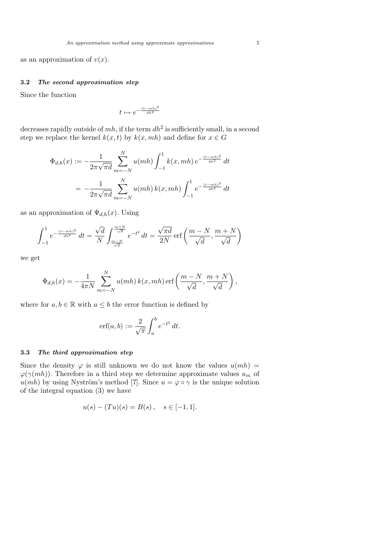as an approximation of  $v(x)$ .

### 3.2 The second approximation step

Since the function

$$
t \mapsto e^{-\frac{(t-mh)^2}{dh^2}}
$$

decreases rapidly outside of  $mh$ , if the term  $dh^2$  is sufficiently small, in a second step we replace the kernel  $k(x, t)$  by  $k(x, mh)$  and define for  $x \in G$ 

$$
\Phi_{d,h}(x) := -\frac{1}{2\pi\sqrt{\pi d}} \sum_{m=-N}^{N} u(mh) \int_{-1}^{1} k(x, mh) e^{-\frac{(t-mh)^2}{dh^2}} dt
$$

$$
= -\frac{1}{2\pi\sqrt{\pi d}} \sum_{m=-N}^{N} u(mh) k(x, mh) \int_{-1}^{1} e^{-\frac{(t-mh)^2}{dh^2}} dt
$$

as an approximation of  $\Psi_{d,h}(x)$ . Using

$$
\int_{-1}^{1} e^{-\frac{(t-mh)^2}{dh^2}} dt = \frac{\sqrt{d}}{N} \int_{\frac{m-N}{\sqrt{d}}}^{\frac{m+N}{\sqrt{d}}} e^{-t^2} dt = \frac{\sqrt{\pi d}}{2N} \operatorname{erf}\left(\frac{m-N}{\sqrt{d}}, \frac{m+N}{\sqrt{d}}\right)
$$

we get

$$
\Phi_{d,h}(x) = -\frac{1}{4\pi N} \sum_{m=-N}^{N} u(mh) k(x, mh) \operatorname{erf}\left(\frac{m-N}{\sqrt{d}}, \frac{m+N}{\sqrt{d}}\right),\,
$$

where for  $a, b \in \mathbb{R}$  with  $a \leq b$  the error function is defined by

$$
\operatorname{erf}(a,b) := \frac{2}{\sqrt{\pi}} \int_a^b e^{-t^2} dt.
$$

#### 3.3 The third approximation step

Since the density  $\varphi$  is still unknown we do not know the values  $u(mh)$  =  $\varphi(\gamma(mh))$ . Therefore in a third step we determine approximate values  $u_m$  of  $u(mh)$  by using Nyström's method [7]. Since  $u = \varphi \circ \gamma$  is the unique solution of the integral equation (3) we have

$$
u(s) - (Tu)(s) = B(s), \quad s \in [-1, 1].
$$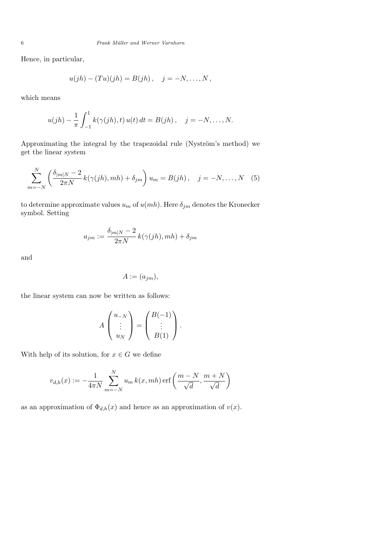Hence, in particular,

$$
u(jh) - (Tu)(jh) = B(jh), \quad j = -N, \ldots, N,
$$

which means

$$
u(jh) - \frac{1}{\pi} \int_{-1}^{1} k(\gamma(jh), t) u(t) dt = B(jh), \quad j = -N, \dots, N.
$$

Approximating the integral by the trapezoidal rule (Nyström's method) we get the linear system

$$
\sum_{m=-N}^{N} \left( \frac{\delta_{|m|N} - 2}{2\pi N} k(\gamma(jh), mh) + \delta_{jm} \right) u_m = B(jh), \quad j = -N, \dots, N \quad (5)
$$

to determine approximate values  $u_m$  of  $u(mh)$ . Here  $\delta_{jm}$  denotes the Kronecker symbol. Setting

$$
a_{jm} := \frac{\delta_{|m|N} - 2}{2\pi N} k(\gamma(jh), mh) + \delta_{jm}
$$

and

$$
A := (a_{jm}),
$$

the linear system can now be written as follows:

$$
A\begin{pmatrix} u_{-N} \\ \vdots \\ u_N \end{pmatrix} = \begin{pmatrix} B(-1) \\ \vdots \\ B(1) \end{pmatrix}.
$$

With help of its solution, for  $x \in G$  we define

$$
v_{d,h}(x) := -\frac{1}{4\pi N} \sum_{m=-N}^{N} u_m k(x, mh) \operatorname{erf}\left(\frac{m-N}{\sqrt{d}}, \frac{m+N}{\sqrt{d}}\right)
$$

as an approximation of  $\Phi_{d,h}(x)$  and hence as an approximation of  $v(x)$ .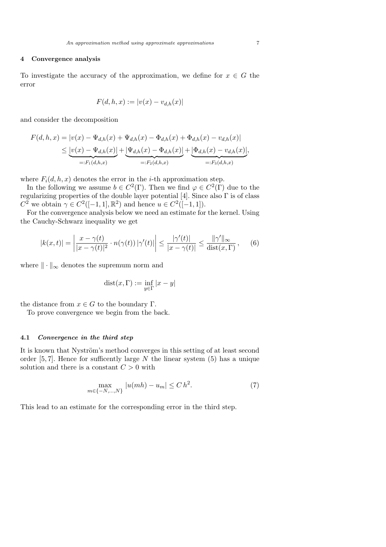# 4 Convergence analysis

To investigate the accuracy of the approximation, we define for  $x \in G$  the error

$$
F(d, h, x) := |v(x) - v_{d,h}(x)|
$$

and consider the decomposition

$$
F(d, h, x) = |v(x) - \Psi_{d,h}(x) + \Psi_{d,h}(x) - \Phi_{d,h}(x) + \Phi_{d,h}(x) - v_{d,h}(x)|
$$
  
\n
$$
\leq \underbrace{|v(x) - \Psi_{d,h}(x)|}_{=:F_1(d,h,x)} + \underbrace{|\Psi_{d,h}(x) - \Phi_{d,h}(x)|}_{=:F_2(d,h,x)} + \underbrace{|\Phi_{d,h}(x) - v_{d,h}(x)|}_{=:F_3(d,h,x)},
$$

where  $F_i(d, h, x)$  denotes the error in the *i*-th approximation step.

In the following we assume  $b \in C^2(\Gamma)$ . Then we find  $\varphi \in C^2(\Gamma)$  due to the regularizing properties of the double layer potential [4]. Since also Γ is of class  $C^2$  we obtain  $\gamma \in C^2([-1, 1], \mathbb{R}^2)$  and hence  $u \in C^2([-1, 1]).$ 

For the convergence analysis below we need an estimate for the kernel. Using the Cauchy-Schwarz inequality we get

$$
|k(x,t)| = \left|\frac{x-\gamma(t)}{|x-\gamma(t)|^2} \cdot n(\gamma(t))\left|\gamma'(t)\right|\right| \le \frac{|\gamma'(t)|}{|x-\gamma(t)|} \le \frac{\|\gamma'\|_{\infty}}{\text{dist}(x,\Gamma)},\tag{6}
$$

where  $\|\cdot\|_{\infty}$  denotes the supremum norm and

$$
\mathrm{dist}(x,\Gamma):=\inf_{y\in\Gamma}|x-y|
$$

the distance from  $x \in G$  to the boundary  $\Gamma$ .

To prove convergence we begin from the back.

# 4.1 Convergence in the third step

It is known that Nyström's method converges in this setting of at least second order  $[5, 7]$ . Hence for sufficently large N the linear system  $(5)$  has a unique solution and there is a constant  $C > 0$  with

$$
\max_{m \in \{-N, \dots, N\}} |u(mh) - u_m| \le C h^2. \tag{7}
$$

This lead to an estimate for the corresponding error in the third step.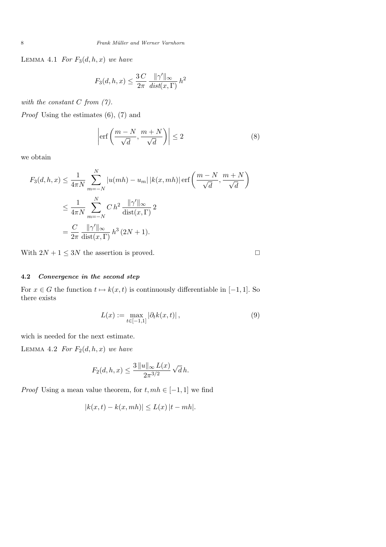LEMMA 4.1 For  $F_3(d, h, x)$  we have

$$
F_3(d, h, x) \le \frac{3C}{2\pi} \frac{\|\gamma'\|_{\infty}}{dist(x, \Gamma)} h^2
$$

with the constant  $C$  from  $(7)$ .

Proof Using the estimates (6), (7) and

$$
\left| \operatorname{erf}\left(\frac{m-N}{\sqrt{d}}, \frac{m+N}{\sqrt{d}}\right) \right| \le 2 \tag{8}
$$

we obtain

$$
F_3(d, h, x) \le \frac{1}{4\pi N} \sum_{m=-N}^{N} |u(mh) - u_m| |k(x, mh)| \operatorname{erf}\left(\frac{m-N}{\sqrt{d}}, \frac{m+N}{\sqrt{d}}\right)
$$
  

$$
\le \frac{1}{4\pi N} \sum_{m=-N}^{N} C h^2 \frac{\|\gamma'\|_{\infty}}{\operatorname{dist}(x, \Gamma)} 2
$$
  

$$
= \frac{C}{2\pi} \frac{\|\gamma'\|_{\infty}}{\operatorname{dist}(x, \Gamma)} h^3 (2N + 1).
$$

With  $2N + 1 \leq 3N$  the assertion is proved.

# 4.2 Convergence in the second step

For  $x \in G$  the function  $t \mapsto k(x, t)$  is continuously differentiable in [−1, 1]. So there exists

$$
L(x) := \max_{t \in [-1,1]} |\partial_t k(x,t)|, \qquad (9)
$$

wich is needed for the next estimate.

LEMMA 4.2 For  $F_2(d, h, x)$  we have

$$
F_2(d, h, x) \le \frac{3 ||u||_{\infty} L(x)}{2\pi^{3/2}} \sqrt{d} h.
$$

*Proof* Using a mean value theorem, for  $t, mh \in [-1,1]$  we find

$$
|k(x,t) - k(x,mh)| \le L(x) |t - mh|.
$$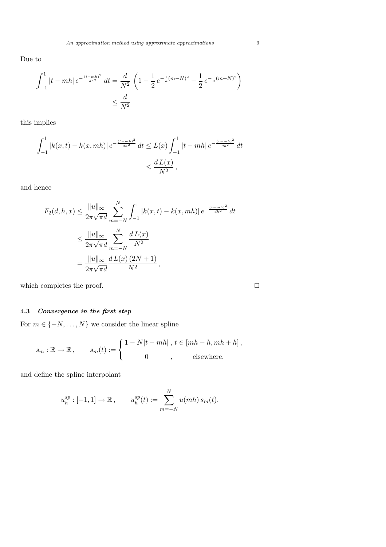Due to

$$
\int_{-1}^{1} |t - mh| e^{-\frac{(t - mh)^2}{dh^2}} dt = \frac{d}{N^2} \left( 1 - \frac{1}{2} e^{-\frac{1}{d}(m - N)^2} - \frac{1}{2} e^{-\frac{1}{d}(m + N)^2} \right)
$$
  

$$
\leq \frac{d}{N^2}
$$

this implies

$$
\int_{-1}^{1} |k(x,t) - k(x,mh)| e^{-\frac{(t-mh)^2}{dh^2}} dt \le L(x) \int_{-1}^{1} |t - mh| e^{-\frac{(t-mh)^2}{dh^2}} dt
$$
  

$$
\le \frac{dL(x)}{N^2},
$$

and hence

$$
F_2(d, h, x) \le \frac{\|u\|_{\infty}}{2\pi\sqrt{\pi d}} \sum_{m=-N}^{N} \int_{-1}^{1} |k(x, t) - k(x, mh)| e^{-\frac{(t - mh)^2}{dh^2}} dt
$$
  

$$
\le \frac{\|u\|_{\infty}}{2\pi\sqrt{\pi d}} \sum_{m=-N}^{N} \frac{dL(x)}{N^2}
$$
  

$$
= \frac{\|u\|_{\infty}}{2\pi\sqrt{\pi d}} \frac{dL(x) (2N + 1)}{N^2},
$$

which completes the proof.  $\hfill \square$ 

# 4.3 Convergence in the first step

For  $m \in \{-N, \ldots, N\}$  we consider the linear spline

$$
s_m : \mathbb{R} \to \mathbb{R}, \qquad s_m(t) := \begin{cases} 1 - N|t - mh|, t \in [mh - h, mh + h], \\ 0, & \text{elsewhere,} \end{cases}
$$

and define the spline interpolant

$$
u_h^{sp}: [-1,1] \to \mathbb{R}, \qquad u_h^{sp}(t) := \sum_{m=-N}^{N} u(mh) s_m(t).
$$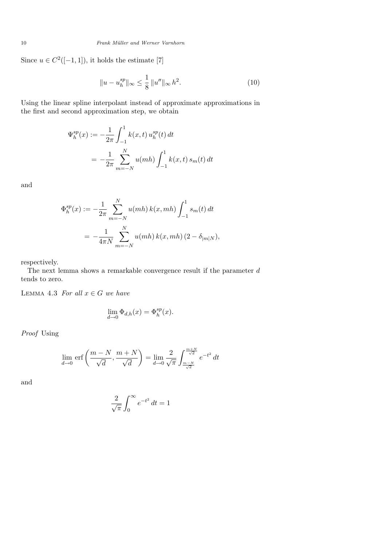Since  $u \in C^2([-1, 1])$ , it holds the estimate [7]

$$
||u - u_h^{sp}||_{\infty} \le \frac{1}{8} ||u''||_{\infty} h^2.
$$
 (10)

Using the linear spline interpolant instead of approximate approximations in the first and second approximation step, we obtain

$$
\Psi_h^{sp}(x) := -\frac{1}{2\pi} \int_{-1}^1 k(x, t) u_h^{sp}(t) dt
$$
  
= 
$$
-\frac{1}{2\pi} \sum_{m=-N}^N u(mh) \int_{-1}^1 k(x, t) s_m(t) dt
$$

and

$$
\Phi_h^{sp}(x) := -\frac{1}{2\pi} \sum_{m=-N}^N u(mh) k(x, mh) \int_{-1}^1 s_m(t) dt
$$
  
= 
$$
-\frac{1}{4\pi N} \sum_{m=-N}^N u(mh) k(x, mh) (2 - \delta_{|m|N}),
$$

respectively.

The next lemma shows a remarkable convergence result if the parameter  $d$ tends to zero.

LEMMA 4.3 For all  $x \in G$  we have

$$
\lim_{d \to 0} \Phi_{d,h}(x) = \Phi_h^{sp}(x).
$$

Proof Using

$$
\lim_{d \to 0} \text{erf}\left(\frac{m-N}{\sqrt{d}}, \frac{m+N}{\sqrt{d}}\right) = \lim_{d \to 0} \frac{2}{\sqrt{\pi}} \int_{\frac{m-N}{\sqrt{d}}}^{\frac{m+N}{\sqrt{d}}} e^{-t^2} dt
$$

and

$$
\frac{2}{\sqrt{\pi}} \int_0^\infty e^{-t^2} \, dt = 1
$$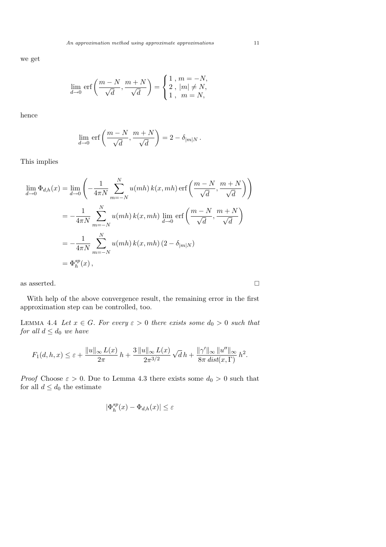we get

$$
\lim_{d \to 0} \text{ erf}\left(\frac{m-N}{\sqrt{d}}, \frac{m+N}{\sqrt{d}}\right) = \begin{cases} 1, m = -N, \\ 2, |m| \neq N, \\ 1, m = N, \end{cases}
$$

hence

$$
\lim_{d \to 0} \,\mathrm{erf}\left(\frac{m-N}{\sqrt{d}}, \frac{m+N}{\sqrt{d}}\right) = 2 - \delta_{|m|N}.
$$

This implies

$$
\lim_{d \to 0} \Phi_{d,h}(x) = \lim_{d \to 0} \left( -\frac{1}{4\pi N} \sum_{m=-N}^{N} u(mh) k(x, mh) \operatorname{erf}\left(\frac{m-N}{\sqrt{d}}, \frac{m+N}{\sqrt{d}}\right) \right)
$$
  
\n
$$
= -\frac{1}{4\pi N} \sum_{m=-N}^{N} u(mh) k(x, mh) \lim_{d \to 0} \operatorname{erf}\left(\frac{m-N}{\sqrt{d}}, \frac{m+N}{\sqrt{d}}\right)
$$
  
\n
$$
= -\frac{1}{4\pi N} \sum_{m=-N}^{N} u(mh) k(x, mh) (2 - \delta_{|m|N})
$$
  
\n
$$
= \Phi_h^{sp}(x),
$$

as asserted.  $\hfill \square$ 

With help of the above convergence result, the remaining error in the first approximation step can be controlled, too.

LEMMA 4.4 Let  $x \in G$ . For every  $\varepsilon > 0$  there exists some  $d_0 > 0$  such that for all  $d \leq d_0$  we have

$$
F_1(d, h, x) \le \varepsilon + \frac{\|u\|_{\infty} L(x)}{2\pi} h + \frac{3\|u\|_{\infty} L(x)}{2\pi^{3/2}} \sqrt{d} h + \frac{\|\gamma'\|_{\infty} \|u''\|_{\infty}}{8\pi \operatorname{dist}(x, \Gamma)} h^2.
$$

*Proof* Choose  $\varepsilon > 0$ . Due to Lemma 4.3 there exists some  $d_0 > 0$  such that for all  $d \leq d_0$  the estimate

$$
|\Phi_h^{sp}(x)-\Phi_{d,h}(x)|\leq \varepsilon
$$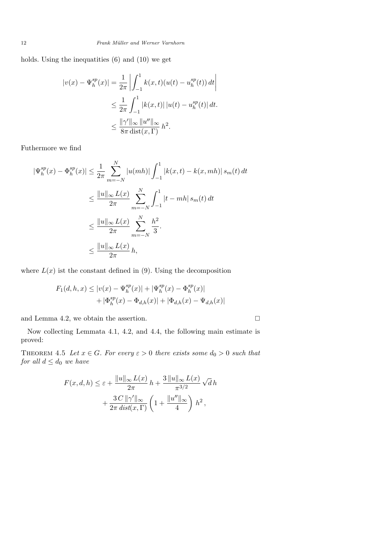12 Frank Müller and Werner Varnhorn

holds. Using the inequatities (6) and (10) we get

$$
|v(x) - \Psi_h^{sp}(x)| = \frac{1}{2\pi} \left| \int_{-1}^1 k(x, t)(u(t) - u_h^{sp}(t)) dt \right|
$$
  

$$
\leq \frac{1}{2\pi} \int_{-1}^1 |k(x, t)| |u(t) - u_h^{sp}(t)| dt.
$$
  

$$
\leq \frac{\|\gamma'\|_{\infty} \|u''\|_{\infty}}{8\pi \operatorname{dist}(x, \Gamma)} h^2.
$$

Futhermore we find

$$
|\Psi_h^{sp}(x) - \Phi_h^{sp}(x)| \le \frac{1}{2\pi} \sum_{m=-N}^N |u(mh)| \int_{-1}^1 |k(x,t) - k(x,mh)| s_m(t) dt
$$
  

$$
\le \frac{||u||_{\infty} L(x)}{2\pi} \sum_{m=-N}^N \int_{-1}^1 |t - mh| s_m(t) dt
$$
  

$$
\le \frac{||u||_{\infty} L(x)}{2\pi} \sum_{m=-N}^N \frac{h^2}{3}.
$$
  

$$
\le \frac{||u||_{\infty} L(x)}{2\pi} h,
$$

where  $L(x)$  ist the constant defined in (9). Using the decomposition

$$
F_1(d, h, x) \le |v(x) - \Psi_h^{sp}(x)| + |\Psi_h^{sp}(x) - \Phi_h^{sp}(x)|
$$
  
+  $|\Phi_h^{sp}(x) - \Phi_{d,h}(x)| + |\Phi_{d,h}(x) - \Psi_{d,h}(x)|$ 

and Lemma 4.2, we obtain the assertion.

$$
\Box
$$

Now collecting Lemmata 4.1, 4.2, and 4.4, the following main estimate is proved:

THEOREM 4.5 Let  $x \in G$ . For every  $\varepsilon > 0$  there exists some  $d_0 > 0$  such that for all  $d \leq d_0$  we have

$$
F(x, d, h) \le \varepsilon + \frac{\|u\|_{\infty} L(x)}{2\pi} h + \frac{3 \|u\|_{\infty} L(x)}{\pi^{3/2}} \sqrt{d} h
$$

$$
+ \frac{3 C \|\gamma'\|_{\infty}}{2\pi \operatorname{dist}(x, \Gamma)} \left(1 + \frac{\|u''\|_{\infty}}{4}\right) h^2,
$$